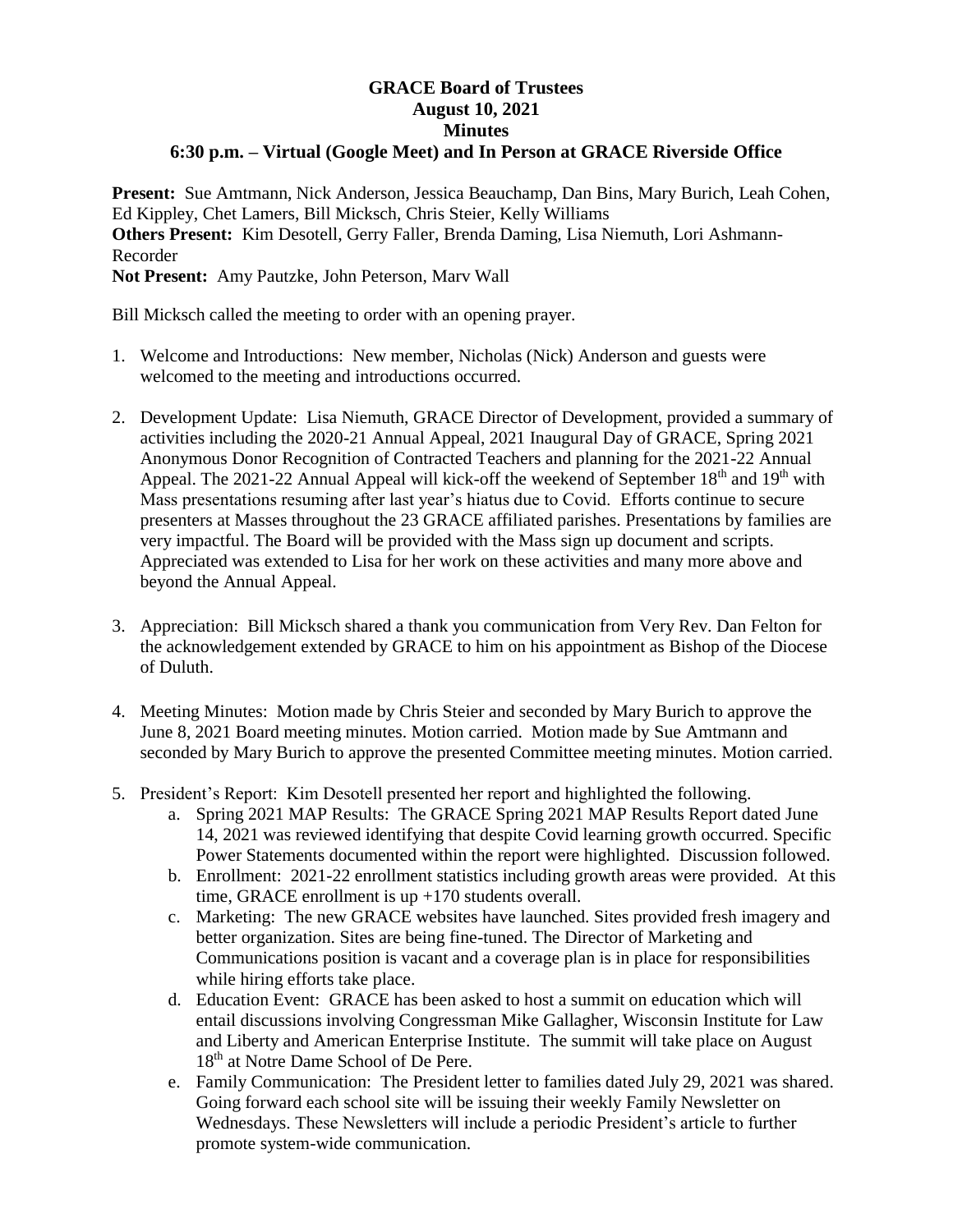## **GRACE Board of Trustees August 10, 2021 Minutes 6:30 p.m. – Virtual (Google Meet) and In Person at GRACE Riverside Office**

**Present:** Sue Amtmann, Nick Anderson, Jessica Beauchamp, Dan Bins, Mary Burich, Leah Cohen, Ed Kippley, Chet Lamers, Bill Micksch, Chris Steier, Kelly Williams **Others Present:** Kim Desotell, Gerry Faller, Brenda Daming, Lisa Niemuth, Lori Ashmann-Recorder **Not Present:** Amy Pautzke, John Peterson, Marv Wall

Bill Micksch called the meeting to order with an opening prayer.

- 1. Welcome and Introductions: New member, Nicholas (Nick) Anderson and guests were welcomed to the meeting and introductions occurred.
- 2. Development Update: Lisa Niemuth, GRACE Director of Development, provided a summary of activities including the 2020-21 Annual Appeal, 2021 Inaugural Day of GRACE, Spring 2021 Anonymous Donor Recognition of Contracted Teachers and planning for the 2021-22 Annual Appeal. The 2021-22 Annual Appeal will kick-off the weekend of September  $18<sup>th</sup>$  and  $19<sup>th</sup>$  with Mass presentations resuming after last year's hiatus due to Covid. Efforts continue to secure presenters at Masses throughout the 23 GRACE affiliated parishes. Presentations by families are very impactful. The Board will be provided with the Mass sign up document and scripts. Appreciated was extended to Lisa for her work on these activities and many more above and beyond the Annual Appeal.
- 3. Appreciation: Bill Micksch shared a thank you communication from Very Rev. Dan Felton for the acknowledgement extended by GRACE to him on his appointment as Bishop of the Diocese of Duluth.
- 4. Meeting Minutes: Motion made by Chris Steier and seconded by Mary Burich to approve the June 8, 2021 Board meeting minutes. Motion carried. Motion made by Sue Amtmann and seconded by Mary Burich to approve the presented Committee meeting minutes. Motion carried.
- 5. President's Report: Kim Desotell presented her report and highlighted the following.
	- a. Spring 2021 MAP Results: The GRACE Spring 2021 MAP Results Report dated June 14, 2021 was reviewed identifying that despite Covid learning growth occurred. Specific Power Statements documented within the report were highlighted. Discussion followed.
	- b. Enrollment: 2021-22 enrollment statistics including growth areas were provided. At this time, GRACE enrollment is up +170 students overall.
	- c. Marketing: The new GRACE websites have launched. Sites provided fresh imagery and better organization. Sites are being fine-tuned. The Director of Marketing and Communications position is vacant and a coverage plan is in place for responsibilities while hiring efforts take place.
	- d. Education Event: GRACE has been asked to host a summit on education which will entail discussions involving Congressman Mike Gallagher, Wisconsin Institute for Law and Liberty and American Enterprise Institute. The summit will take place on August 18<sup>th</sup> at Notre Dame School of De Pere.
	- e. Family Communication: The President letter to families dated July 29, 2021 was shared. Going forward each school site will be issuing their weekly Family Newsletter on Wednesdays. These Newsletters will include a periodic President's article to further promote system-wide communication.